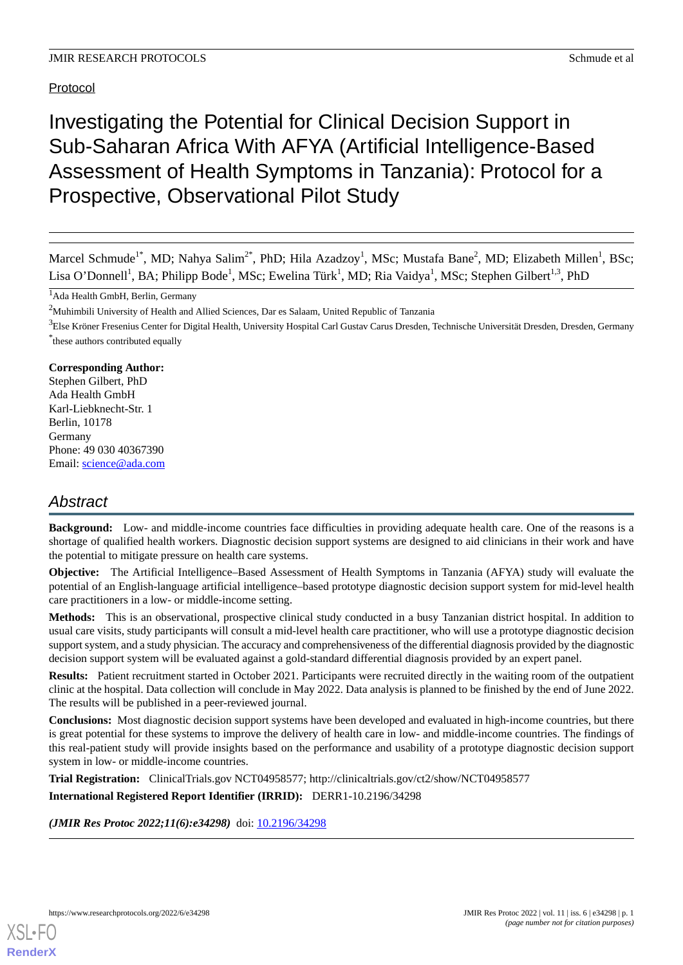# Protocol

# Investigating the Potential for Clinical Decision Support in Sub-Saharan Africa With AFYA (Artificial Intelligence-Based Assessment of Health Symptoms in Tanzania): Protocol for a Prospective, Observational Pilot Study

Marcel Schmude<sup>1\*</sup>, MD; Nahya Salim<sup>2\*</sup>, PhD; Hila Azadzoy<sup>1</sup>, MSc; Mustafa Bane<sup>2</sup>, MD; Elizabeth Millen<sup>1</sup>, BSc; Lisa O'Donnell<sup>1</sup>, BA; Philipp Bode<sup>1</sup>, MSc; Ewelina Türk<sup>1</sup>, MD; Ria Vaidya<sup>1</sup>, MSc; Stephen Gilbert<sup>1,3</sup>, PhD

# **Corresponding Author:**

Stephen Gilbert, PhD Ada Health GmbH Karl-Liebknecht-Str. 1 Berlin, 10178 Germany Phone: 49 030 40367390 Email: [science@ada.com](mailto:science@ada.com)

# *Abstract*

**Background:** Low- and middle-income countries face difficulties in providing adequate health care. One of the reasons is a shortage of qualified health workers. Diagnostic decision support systems are designed to aid clinicians in their work and have the potential to mitigate pressure on health care systems.

**Objective:** The Artificial Intelligence–Based Assessment of Health Symptoms in Tanzania (AFYA) study will evaluate the potential of an English-language artificial intelligence–based prototype diagnostic decision support system for mid-level health care practitioners in a low- or middle-income setting.

**Methods:** This is an observational, prospective clinical study conducted in a busy Tanzanian district hospital. In addition to usual care visits, study participants will consult a mid-level health care practitioner, who will use a prototype diagnostic decision support system, and a study physician. The accuracy and comprehensiveness of the differential diagnosis provided by the diagnostic decision support system will be evaluated against a gold-standard differential diagnosis provided by an expert panel.

**Results:** Patient recruitment started in October 2021. Participants were recruited directly in the waiting room of the outpatient clinic at the hospital. Data collection will conclude in May 2022. Data analysis is planned to be finished by the end of June 2022. The results will be published in a peer-reviewed journal.

**Conclusions:** Most diagnostic decision support systems have been developed and evaluated in high-income countries, but there is great potential for these systems to improve the delivery of health care in low- and middle-income countries. The findings of this real-patient study will provide insights based on the performance and usability of a prototype diagnostic decision support system in low- or middle-income countries.

**Trial Registration:** ClinicalTrials.gov NCT04958577; http://clinicaltrials.gov/ct2/show/NCT04958577

**International Registered Report Identifier (IRRID):** DERR1-10.2196/34298

(JMIR Res Protoc 2022;11(6):e34298) doi: [10.2196/34298](http://dx.doi.org/10.2196/34298)

<sup>&</sup>lt;sup>1</sup>Ada Health GmbH, Berlin, Germany

<sup>&</sup>lt;sup>2</sup>Muhimbili University of Health and Allied Sciences, Dar es Salaam, United Republic of Tanzania

<sup>&</sup>lt;sup>3</sup>Else Kröner Fresenius Center for Digital Health, University Hospital Carl Gustav Carus Dresden, Technische Universität Dresden, Dresden, Germany \* these authors contributed equally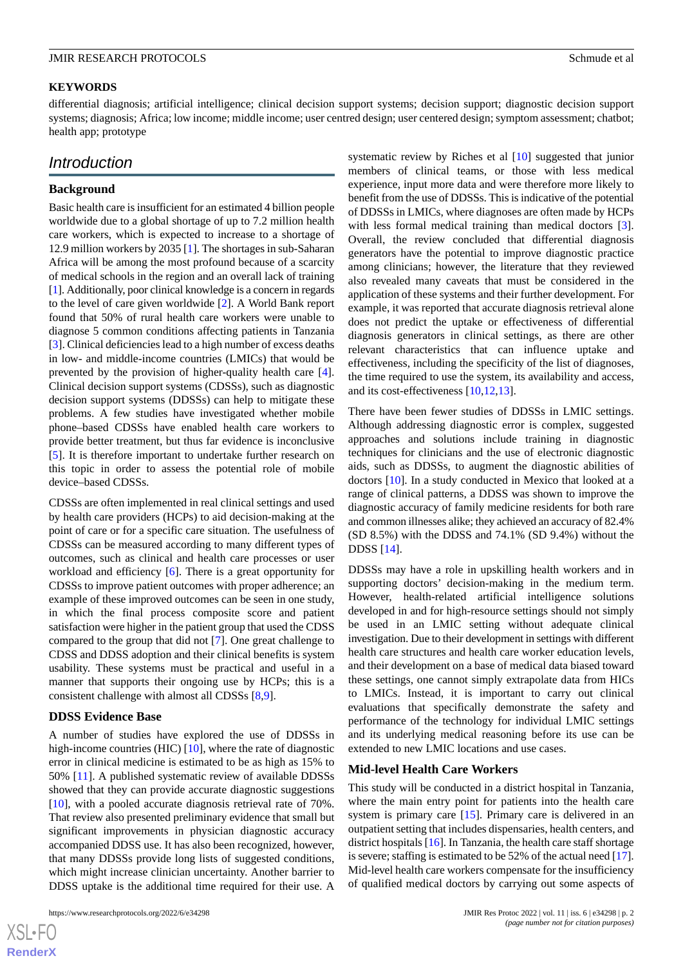# **KEYWORDS**

differential diagnosis; artificial intelligence; clinical decision support systems; decision support; diagnostic decision support systems; diagnosis; Africa; low income; middle income; user centred design; user centered design; symptom assessment; chatbot; health app; prototype

# *Introduction*

## **Background**

Basic health care is insufficient for an estimated 4 billion people worldwide due to a global shortage of up to 7.2 million health care workers, which is expected to increase to a shortage of 12.9 million workers by 2035 [\[1](#page-8-0)]. The shortages in sub-Saharan Africa will be among the most profound because of a scarcity of medical schools in the region and an overall lack of training [[1\]](#page-8-0). Additionally, poor clinical knowledge is a concern in regards to the level of care given worldwide [\[2](#page-9-0)]. A World Bank report found that 50% of rural health care workers were unable to diagnose 5 common conditions affecting patients in Tanzania [[3\]](#page-9-1). Clinical deficiencies lead to a high number of excess deaths in low- and middle-income countries (LMICs) that would be prevented by the provision of higher-quality health care [[4\]](#page-9-2). Clinical decision support systems (CDSSs), such as diagnostic decision support systems (DDSSs) can help to mitigate these problems. A few studies have investigated whether mobile phone–based CDSSs have enabled health care workers to provide better treatment, but thus far evidence is inconclusive [[5\]](#page-9-3). It is therefore important to undertake further research on this topic in order to assess the potential role of mobile device–based CDSSs.

CDSSs are often implemented in real clinical settings and used by health care providers (HCPs) to aid decision-making at the point of care or for a specific care situation. The usefulness of CDSSs can be measured according to many different types of outcomes, such as clinical and health care processes or user workload and efficiency [[6\]](#page-9-4). There is a great opportunity for CDSSs to improve patient outcomes with proper adherence; an example of these improved outcomes can be seen in one study, in which the final process composite score and patient satisfaction were higher in the patient group that used the CDSS compared to the group that did not [[7\]](#page-9-5). One great challenge to CDSS and DDSS adoption and their clinical benefits is system usability. These systems must be practical and useful in a manner that supports their ongoing use by HCPs; this is a consistent challenge with almost all CDSSs [\[8,](#page-9-6)[9](#page-9-7)].

#### **DDSS Evidence Base**

A number of studies have explored the use of DDSSs in high-income countries (HIC)  $[10]$  $[10]$ , where the rate of diagnostic error in clinical medicine is estimated to be as high as 15% to 50% [\[11](#page-9-9)]. A published systematic review of available DDSSs showed that they can provide accurate diagnostic suggestions [[10\]](#page-9-8), with a pooled accurate diagnosis retrieval rate of 70%. That review also presented preliminary evidence that small but significant improvements in physician diagnostic accuracy accompanied DDSS use. It has also been recognized, however, that many DDSSs provide long lists of suggested conditions, which might increase clinician uncertainty. Another barrier to DDSS uptake is the additional time required for their use. A

```
https://www.researchprotocols.org/2022/6/e34298 p. 2<br>
JMIR Res Protoc 2022 | vol. 11 | iss. 6 | e34298 | p. 2
```
 $XS$  • FC **[RenderX](http://www.renderx.com/)** systematic review by Riches et al [[10\]](#page-9-8) suggested that junior members of clinical teams, or those with less medical experience, input more data and were therefore more likely to benefit from the use of DDSSs. This is indicative of the potential of DDSSs in LMICs, where diagnoses are often made by HCPs with less formal medical training than medical doctors [[3\]](#page-9-1). Overall, the review concluded that differential diagnosis generators have the potential to improve diagnostic practice among clinicians; however, the literature that they reviewed also revealed many caveats that must be considered in the application of these systems and their further development. For example, it was reported that accurate diagnosis retrieval alone does not predict the uptake or effectiveness of differential diagnosis generators in clinical settings, as there are other relevant characteristics that can influence uptake and effectiveness, including the specificity of the list of diagnoses, the time required to use the system, its availability and access, and its cost-effectiveness [\[10](#page-9-8),[12](#page-9-10)[,13](#page-9-11)].

There have been fewer studies of DDSSs in LMIC settings. Although addressing diagnostic error is complex, suggested approaches and solutions include training in diagnostic techniques for clinicians and the use of electronic diagnostic aids, such as DDSSs, to augment the diagnostic abilities of doctors [\[10](#page-9-8)]. In a study conducted in Mexico that looked at a range of clinical patterns, a DDSS was shown to improve the diagnostic accuracy of family medicine residents for both rare and common illnesses alike; they achieved an accuracy of 82.4% (SD 8.5%) with the DDSS and 74.1% (SD 9.4%) without the DDSS [\[14](#page-9-12)].

DDSSs may have a role in upskilling health workers and in supporting doctors' decision-making in the medium term. However, health-related artificial intelligence solutions developed in and for high-resource settings should not simply be used in an LMIC setting without adequate clinical investigation. Due to their development in settings with different health care structures and health care worker education levels, and their development on a base of medical data biased toward these settings, one cannot simply extrapolate data from HICs to LMICs. Instead, it is important to carry out clinical evaluations that specifically demonstrate the safety and performance of the technology for individual LMIC settings and its underlying medical reasoning before its use can be extended to new LMIC locations and use cases.

# **Mid-level Health Care Workers**

This study will be conducted in a district hospital in Tanzania, where the main entry point for patients into the health care system is primary care [[15\]](#page-9-13). Primary care is delivered in an outpatient setting that includes dispensaries, health centers, and district hospitals [[16](#page-9-14)]. In Tanzania, the health care staff shortage is severe; staffing is estimated to be 52% of the actual need [\[17](#page-9-15)]. Mid-level health care workers compensate for the insufficiency of qualified medical doctors by carrying out some aspects of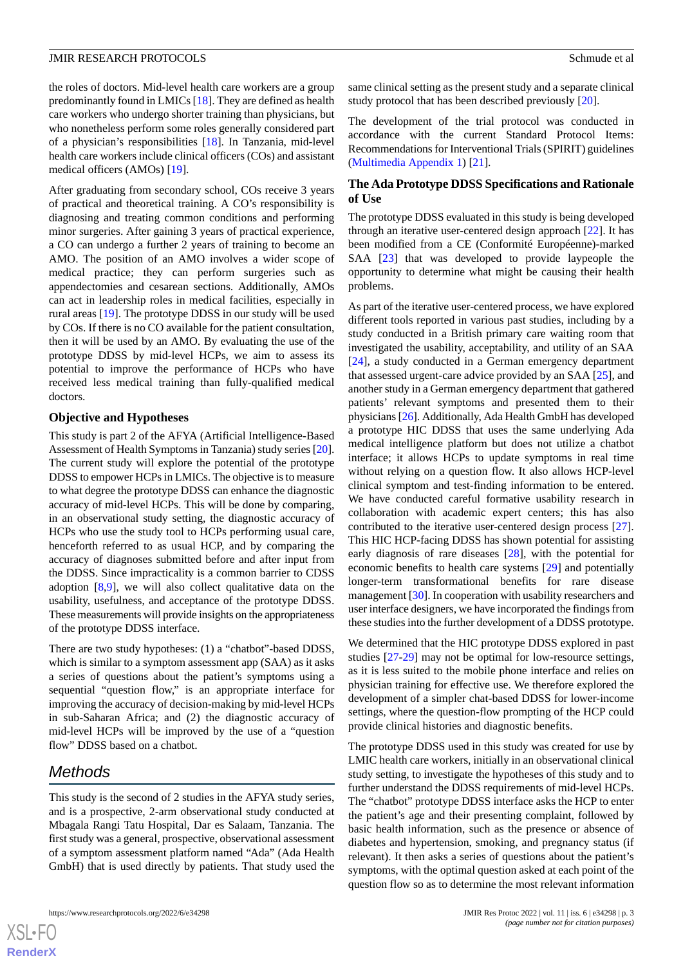the roles of doctors. Mid-level health care workers are a group predominantly found in LMICs [[18\]](#page-9-16). They are defined as health care workers who undergo shorter training than physicians, but who nonetheless perform some roles generally considered part of a physician's responsibilities [[18\]](#page-9-16). In Tanzania, mid-level health care workers include clinical officers (COs) and assistant medical officers (AMOs) [[19\]](#page-9-17).

After graduating from secondary school, COs receive 3 years of practical and theoretical training. A CO's responsibility is diagnosing and treating common conditions and performing minor surgeries. After gaining 3 years of practical experience, a CO can undergo a further 2 years of training to become an AMO. The position of an AMO involves a wider scope of medical practice; they can perform surgeries such as appendectomies and cesarean sections. Additionally, AMOs can act in leadership roles in medical facilities, especially in rural areas [[19\]](#page-9-17). The prototype DDSS in our study will be used by COs. If there is no CO available for the patient consultation, then it will be used by an AMO. By evaluating the use of the prototype DDSS by mid-level HCPs, we aim to assess its potential to improve the performance of HCPs who have received less medical training than fully-qualified medical doctors.

### **Objective and Hypotheses**

This study is part 2 of the AFYA (Artificial Intelligence-Based Assessment of Health Symptoms in Tanzania) study series [[20\]](#page-9-18). The current study will explore the potential of the prototype DDSS to empower HCPs in LMICs. The objective is to measure to what degree the prototype DDSS can enhance the diagnostic accuracy of mid-level HCPs. This will be done by comparing, in an observational study setting, the diagnostic accuracy of HCPs who use the study tool to HCPs performing usual care, henceforth referred to as usual HCP, and by comparing the accuracy of diagnoses submitted before and after input from the DDSS. Since impracticality is a common barrier to CDSS adoption [[8](#page-9-6),[9\]](#page-9-7), we will also collect qualitative data on the usability, usefulness, and acceptance of the prototype DDSS. These measurements will provide insights on the appropriateness of the prototype DDSS interface.

There are two study hypotheses: (1) a "chatbot"-based DDSS, which is similar to a symptom assessment app (SAA) as it asks a series of questions about the patient's symptoms using a sequential "question flow," is an appropriate interface for improving the accuracy of decision-making by mid-level HCPs in sub-Saharan Africa; and (2) the diagnostic accuracy of mid-level HCPs will be improved by the use of a "question flow" DDSS based on a chatbot.

# *Methods*

 $XS$ -FO **[RenderX](http://www.renderx.com/)**

This study is the second of 2 studies in the AFYA study series, and is a prospective, 2-arm observational study conducted at Mbagala Rangi Tatu Hospital, Dar es Salaam, Tanzania. The first study was a general, prospective, observational assessment of a symptom assessment platform named "Ada" (Ada Health GmbH) that is used directly by patients. That study used the same clinical setting as the present study and a separate clinical study protocol that has been described previously [[20\]](#page-9-18).

The development of the trial protocol was conducted in accordance with the current Standard Protocol Items: Recommendations for Interventional Trials (SPIRIT) guidelines ([Multimedia Appendix 1](#page-8-1)) [\[21](#page-9-19)].

# **The Ada Prototype DDSS Specifications and Rationale of Use**

The prototype DDSS evaluated in this study is being developed through an iterative user-centered design approach [\[22](#page-9-20)]. It has been modified from a CE (Conformité Européenne)-marked SAA [[23\]](#page-9-21) that was developed to provide laypeople the opportunity to determine what might be causing their health problems.

As part of the iterative user-centered process, we have explored different tools reported in various past studies, including by a study conducted in a British primary care waiting room that investigated the usability, acceptability, and utility of an SAA [[24\]](#page-10-0), a study conducted in a German emergency department that assessed urgent-care advice provided by an SAA [\[25](#page-10-1)], and another study in a German emergency department that gathered patients' relevant symptoms and presented them to their physicians [\[26](#page-10-2)]. Additionally, Ada Health GmbH has developed a prototype HIC DDSS that uses the same underlying Ada medical intelligence platform but does not utilize a chatbot interface; it allows HCPs to update symptoms in real time without relying on a question flow. It also allows HCP-level clinical symptom and test-finding information to be entered. We have conducted careful formative usability research in collaboration with academic expert centers; this has also contributed to the iterative user-centered design process [[27\]](#page-10-3). This HIC HCP-facing DDSS has shown potential for assisting early diagnosis of rare diseases [[28\]](#page-10-4), with the potential for economic benefits to health care systems [\[29](#page-10-5)] and potentially longer-term transformational benefits for rare disease management [[30\]](#page-10-6). In cooperation with usability researchers and user interface designers, we have incorporated the findings from these studies into the further development of a DDSS prototype.

We determined that the HIC prototype DDSS explored in past studies [[27-](#page-10-3)[29](#page-10-5)] may not be optimal for low-resource settings, as it is less suited to the mobile phone interface and relies on physician training for effective use. We therefore explored the development of a simpler chat-based DDSS for lower-income settings, where the question-flow prompting of the HCP could provide clinical histories and diagnostic benefits.

The prototype DDSS used in this study was created for use by LMIC health care workers, initially in an observational clinical study setting, to investigate the hypotheses of this study and to further understand the DDSS requirements of mid-level HCPs. The "chatbot" prototype DDSS interface asks the HCP to enter the patient's age and their presenting complaint, followed by basic health information, such as the presence or absence of diabetes and hypertension, smoking, and pregnancy status (if relevant). It then asks a series of questions about the patient's symptoms, with the optimal question asked at each point of the question flow so as to determine the most relevant information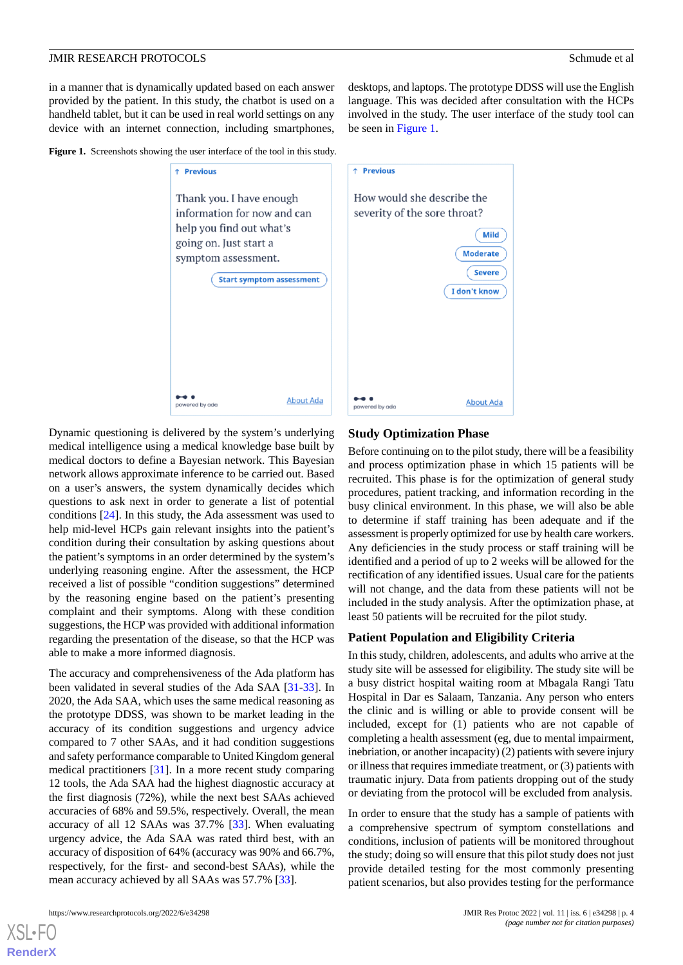in a manner that is dynamically updated based on each answer provided by the patient. In this study, the chatbot is used on a handheld tablet, but it can be used in real world settings on any device with an internet connection, including smartphones,

desktops, and laptops. The prototype DDSS will use the English language. This was decided after consultation with the HCPs involved in the study. The user interface of the study tool can be seen in [Figure 1.](#page-3-0)

<span id="page-3-0"></span>**Figure 1.** Screenshots showing the user interface of the tool in this study.



Dynamic questioning is delivered by the system's underlying medical intelligence using a medical knowledge base built by medical doctors to define a Bayesian network. This Bayesian network allows approximate inference to be carried out. Based on a user's answers, the system dynamically decides which questions to ask next in order to generate a list of potential conditions [\[24](#page-10-0)]. In this study, the Ada assessment was used to help mid-level HCPs gain relevant insights into the patient's condition during their consultation by asking questions about the patient's symptoms in an order determined by the system's underlying reasoning engine. After the assessment, the HCP received a list of possible "condition suggestions" determined by the reasoning engine based on the patient's presenting complaint and their symptoms. Along with these condition suggestions, the HCP was provided with additional information regarding the presentation of the disease, so that the HCP was able to make a more informed diagnosis.

The accuracy and comprehensiveness of the Ada platform has been validated in several studies of the Ada SAA [[31](#page-10-7)[-33](#page-10-8)]. In 2020, the Ada SAA, which uses the same medical reasoning as the prototype DDSS, was shown to be market leading in the accuracy of its condition suggestions and urgency advice compared to 7 other SAAs, and it had condition suggestions and safety performance comparable to United Kingdom general medical practitioners [\[31](#page-10-7)]. In a more recent study comparing 12 tools, the Ada SAA had the highest diagnostic accuracy at the first diagnosis (72%), while the next best SAAs achieved accuracies of 68% and 59.5%, respectively. Overall, the mean accuracy of all 12 SAAs was 37.7% [[33\]](#page-10-8). When evaluating urgency advice, the Ada SAA was rated third best, with an accuracy of disposition of 64% (accuracy was 90% and 66.7%, respectively, for the first- and second-best SAAs), while the mean accuracy achieved by all SAAs was 57.7% [\[33](#page-10-8)].

## **Study Optimization Phase**

Before continuing on to the pilot study, there will be a feasibility and process optimization phase in which 15 patients will be recruited. This phase is for the optimization of general study procedures, patient tracking, and information recording in the busy clinical environment. In this phase, we will also be able to determine if staff training has been adequate and if the assessment is properly optimized for use by health care workers. Any deficiencies in the study process or staff training will be identified and a period of up to 2 weeks will be allowed for the rectification of any identified issues. Usual care for the patients will not change, and the data from these patients will not be included in the study analysis. After the optimization phase, at least 50 patients will be recruited for the pilot study.

### **Patient Population and Eligibility Criteria**

In this study, children, adolescents, and adults who arrive at the study site will be assessed for eligibility. The study site will be a busy district hospital waiting room at Mbagala Rangi Tatu Hospital in Dar es Salaam, Tanzania. Any person who enters the clinic and is willing or able to provide consent will be included, except for (1) patients who are not capable of completing a health assessment (eg, due to mental impairment, inebriation, or another incapacity) (2) patients with severe injury or illness that requires immediate treatment, or (3) patients with traumatic injury. Data from patients dropping out of the study or deviating from the protocol will be excluded from analysis.

In order to ensure that the study has a sample of patients with a comprehensive spectrum of symptom constellations and conditions, inclusion of patients will be monitored throughout the study; doing so will ensure that this pilot study does not just provide detailed testing for the most commonly presenting patient scenarios, but also provides testing for the performance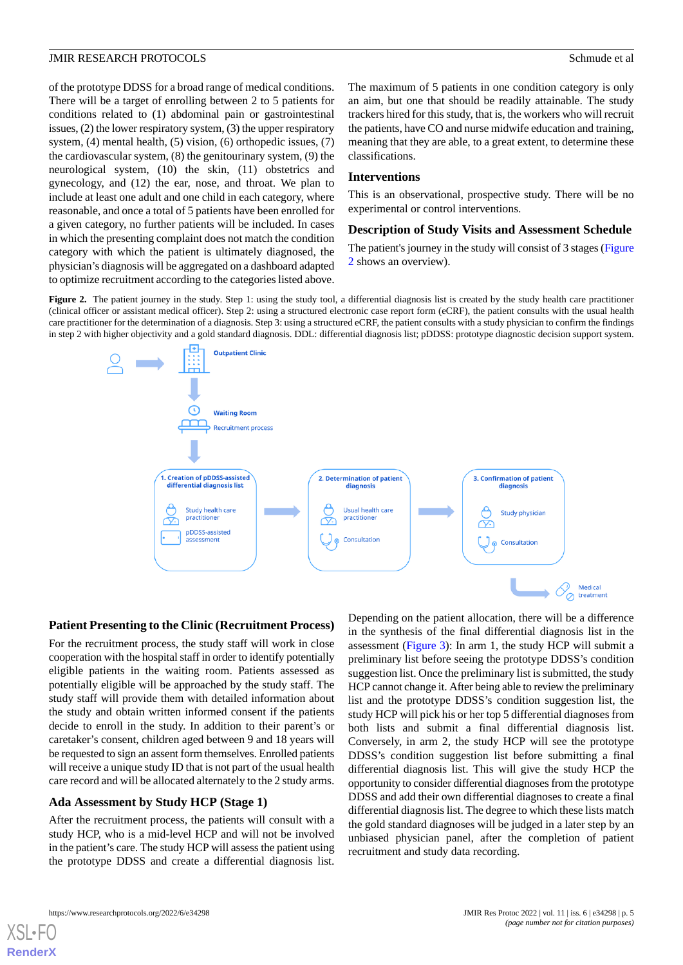of the prototype DDSS for a broad range of medical conditions. There will be a target of enrolling between 2 to 5 patients for conditions related to (1) abdominal pain or gastrointestinal issues, (2) the lower respiratory system, (3) the upper respiratory system, (4) mental health, (5) vision, (6) orthopedic issues, (7) the cardiovascular system, (8) the genitourinary system, (9) the neurological system, (10) the skin, (11) obstetrics and gynecology, and (12) the ear, nose, and throat. We plan to include at least one adult and one child in each category, where reasonable, and once a total of 5 patients have been enrolled for a given category, no further patients will be included. In cases in which the presenting complaint does not match the condition category with which the patient is ultimately diagnosed, the physician's diagnosis will be aggregated on a dashboard adapted to optimize recruitment according to the categories listed above.

The maximum of 5 patients in one condition category is only an aim, but one that should be readily attainable. The study trackers hired for this study, that is, the workers who will recruit the patients, have CO and nurse midwife education and training, meaning that they are able, to a great extent, to determine these classifications.

# **Interventions**

This is an observational, prospective study. There will be no experimental or control interventions.

# **Description of Study Visits and Assessment Schedule**

The patient's journey in the study will consist of 3 stages [\(Figure](#page-4-0) [2](#page-4-0) shows an overview).

<span id="page-4-0"></span>**Figure 2.** The patient journey in the study. Step 1: using the study tool, a differential diagnosis list is created by the study health care practitioner (clinical officer or assistant medical officer). Step 2: using a structured electronic case report form (eCRF), the patient consults with the usual health care practitioner for the determination of a diagnosis. Step 3: using a structured eCRF, the patient consults with a study physician to confirm the findings in step 2 with higher objectivity and a gold standard diagnosis. DDL: differential diagnosis list; pDDSS: prototype diagnostic decision support system.



### **Patient Presenting to the Clinic (Recruitment Process)**

For the recruitment process, the study staff will work in close cooperation with the hospital staff in order to identify potentially eligible patients in the waiting room. Patients assessed as potentially eligible will be approached by the study staff. The study staff will provide them with detailed information about the study and obtain written informed consent if the patients decide to enroll in the study. In addition to their parent's or caretaker's consent, children aged between 9 and 18 years will be requested to sign an assent form themselves. Enrolled patients will receive a unique study ID that is not part of the usual health care record and will be allocated alternately to the 2 study arms.

### **Ada Assessment by Study HCP (Stage 1)**

After the recruitment process, the patients will consult with a study HCP, who is a mid-level HCP and will not be involved in the patient's care. The study HCP will assess the patient using the prototype DDSS and create a differential diagnosis list.

Depending on the patient allocation, there will be a difference in the synthesis of the final differential diagnosis list in the assessment [\(Figure 3](#page-5-0)): In arm 1, the study HCP will submit a preliminary list before seeing the prototype DDSS's condition suggestion list. Once the preliminary list is submitted, the study HCP cannot change it. After being able to review the preliminary list and the prototype DDSS's condition suggestion list, the study HCP will pick his or her top 5 differential diagnoses from both lists and submit a final differential diagnosis list. Conversely, in arm 2, the study HCP will see the prototype DDSS's condition suggestion list before submitting a final differential diagnosis list. This will give the study HCP the opportunity to consider differential diagnoses from the prototype DDSS and add their own differential diagnoses to create a final differential diagnosis list. The degree to which these lists match the gold standard diagnoses will be judged in a later step by an unbiased physician panel, after the completion of patient recruitment and study data recording.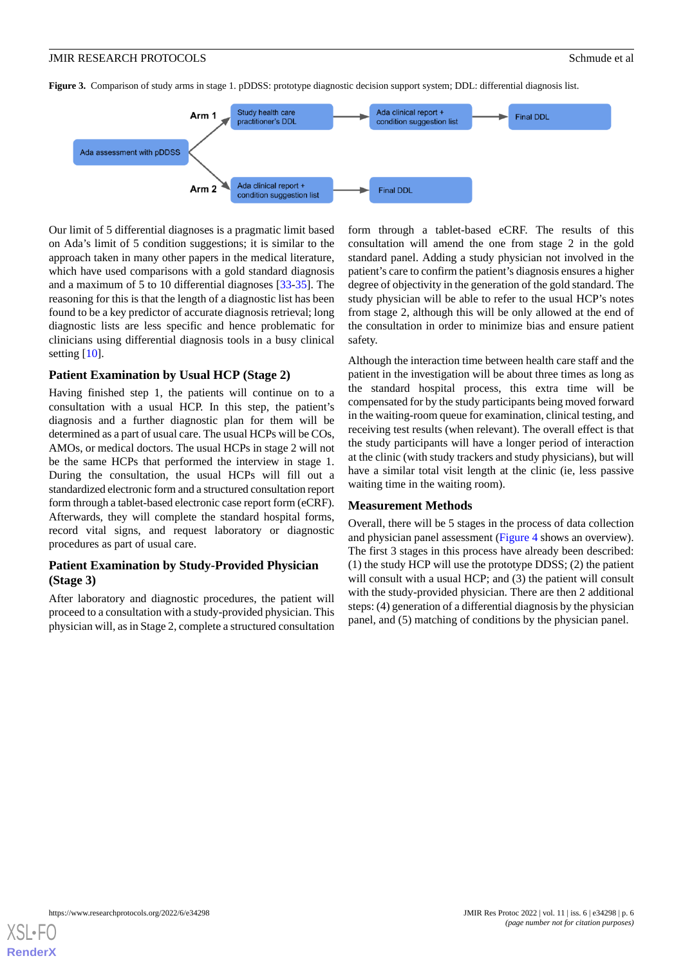<span id="page-5-0"></span>**Figure 3.** Comparison of study arms in stage 1. pDDSS: prototype diagnostic decision support system; DDL: differential diagnosis list.



Our limit of 5 differential diagnoses is a pragmatic limit based on Ada's limit of 5 condition suggestions; it is similar to the approach taken in many other papers in the medical literature, which have used comparisons with a gold standard diagnosis and a maximum of 5 to 10 differential diagnoses [\[33](#page-10-8)-[35\]](#page-10-9). The reasoning for this is that the length of a diagnostic list has been found to be a key predictor of accurate diagnosis retrieval; long diagnostic lists are less specific and hence problematic for clinicians using differential diagnosis tools in a busy clinical setting  $[10]$  $[10]$ .

# **Patient Examination by Usual HCP (Stage 2)**

Having finished step 1, the patients will continue on to a consultation with a usual HCP. In this step, the patient's diagnosis and a further diagnostic plan for them will be determined as a part of usual care. The usual HCPs will be COs, AMOs, or medical doctors. The usual HCPs in stage 2 will not be the same HCPs that performed the interview in stage 1. During the consultation, the usual HCPs will fill out a standardized electronic form and a structured consultation report form through a tablet-based electronic case report form (eCRF). Afterwards, they will complete the standard hospital forms, record vital signs, and request laboratory or diagnostic procedures as part of usual care.

# **Patient Examination by Study-Provided Physician (Stage 3)**

After laboratory and diagnostic procedures, the patient will proceed to a consultation with a study-provided physician. This physician will, as in Stage 2, complete a structured consultation

form through a tablet-based eCRF. The results of this consultation will amend the one from stage 2 in the gold standard panel. Adding a study physician not involved in the patient's care to confirm the patient's diagnosis ensures a higher degree of objectivity in the generation of the gold standard. The study physician will be able to refer to the usual HCP's notes from stage 2, although this will be only allowed at the end of the consultation in order to minimize bias and ensure patient safety.

Although the interaction time between health care staff and the patient in the investigation will be about three times as long as the standard hospital process, this extra time will be compensated for by the study participants being moved forward in the waiting-room queue for examination, clinical testing, and receiving test results (when relevant). The overall effect is that the study participants will have a longer period of interaction at the clinic (with study trackers and study physicians), but will have a similar total visit length at the clinic (ie, less passive waiting time in the waiting room).

#### **Measurement Methods**

Overall, there will be 5 stages in the process of data collection and physician panel assessment [\(Figure 4](#page-6-0) shows an overview). The first 3 stages in this process have already been described: (1) the study HCP will use the prototype DDSS; (2) the patient will consult with a usual HCP; and (3) the patient will consult with the study-provided physician. There are then 2 additional steps: (4) generation of a differential diagnosis by the physician panel, and (5) matching of conditions by the physician panel.

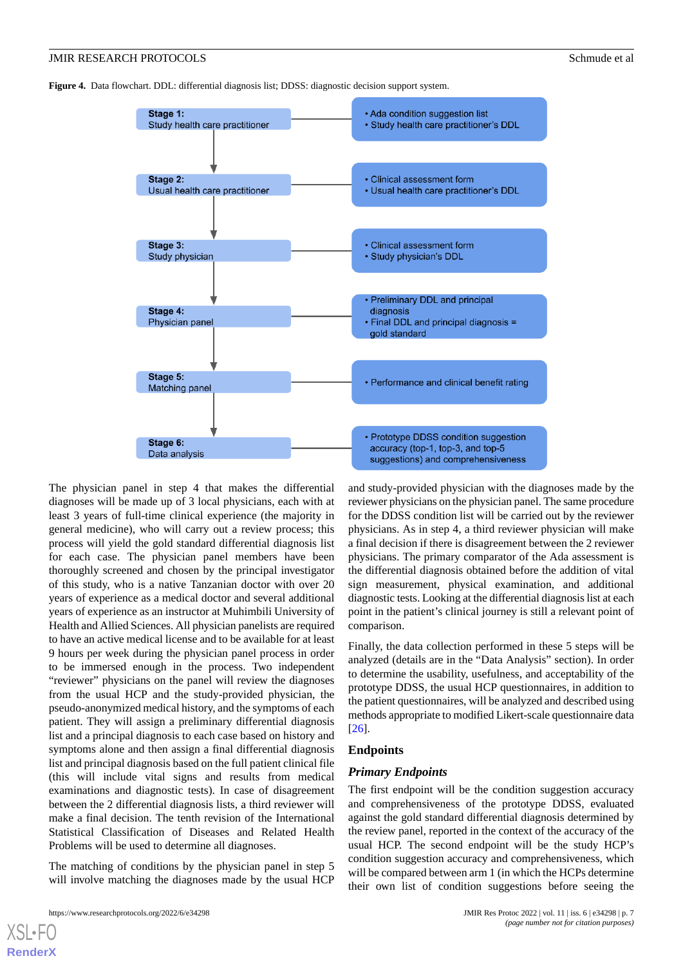<span id="page-6-0"></span>**Figure 4.** Data flowchart. DDL: differential diagnosis list; DDSS: diagnostic decision support system.



The physician panel in step 4 that makes the differential diagnoses will be made up of 3 local physicians, each with at least 3 years of full-time clinical experience (the majority in general medicine), who will carry out a review process; this process will yield the gold standard differential diagnosis list for each case. The physician panel members have been thoroughly screened and chosen by the principal investigator of this study, who is a native Tanzanian doctor with over 20 years of experience as a medical doctor and several additional years of experience as an instructor at Muhimbili University of Health and Allied Sciences. All physician panelists are required to have an active medical license and to be available for at least 9 hours per week during the physician panel process in order to be immersed enough in the process. Two independent "reviewer" physicians on the panel will review the diagnoses from the usual HCP and the study-provided physician, the pseudo-anonymized medical history, and the symptoms of each patient. They will assign a preliminary differential diagnosis list and a principal diagnosis to each case based on history and symptoms alone and then assign a final differential diagnosis list and principal diagnosis based on the full patient clinical file (this will include vital signs and results from medical examinations and diagnostic tests). In case of disagreement between the 2 differential diagnosis lists, a third reviewer will make a final decision. The tenth revision of the International Statistical Classification of Diseases and Related Health Problems will be used to determine all diagnoses.

The matching of conditions by the physician panel in step 5 will involve matching the diagnoses made by the usual HCP

[XSL](http://www.w3.org/Style/XSL)•FO **[RenderX](http://www.renderx.com/)**

and study-provided physician with the diagnoses made by the reviewer physicians on the physician panel. The same procedure for the DDSS condition list will be carried out by the reviewer physicians. As in step 4, a third reviewer physician will make a final decision if there is disagreement between the 2 reviewer physicians. The primary comparator of the Ada assessment is the differential diagnosis obtained before the addition of vital sign measurement, physical examination, and additional diagnostic tests. Looking at the differential diagnosis list at each point in the patient's clinical journey is still a relevant point of comparison.

Finally, the data collection performed in these 5 steps will be analyzed (details are in the "Data Analysis" section). In order to determine the usability, usefulness, and acceptability of the prototype DDSS, the usual HCP questionnaires, in addition to the patient questionnaires, will be analyzed and described using methods appropriate to modified Likert-scale questionnaire data [[26\]](#page-10-2).

# **Endpoints**

#### *Primary Endpoints*

The first endpoint will be the condition suggestion accuracy and comprehensiveness of the prototype DDSS, evaluated against the gold standard differential diagnosis determined by the review panel, reported in the context of the accuracy of the usual HCP. The second endpoint will be the study HCP's condition suggestion accuracy and comprehensiveness, which will be compared between arm 1 (in which the HCPs determine their own list of condition suggestions before seeing the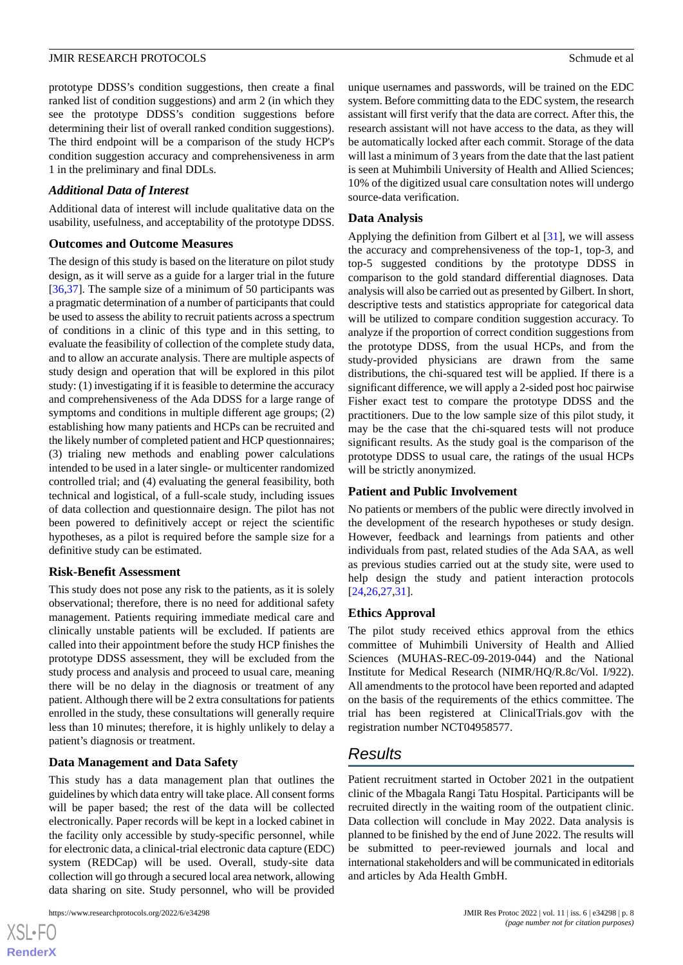prototype DDSS's condition suggestions, then create a final ranked list of condition suggestions) and arm 2 (in which they see the prototype DDSS's condition suggestions before determining their list of overall ranked condition suggestions). The third endpoint will be a comparison of the study HCP's condition suggestion accuracy and comprehensiveness in arm 1 in the preliminary and final DDLs.

# *Additional Data of Interest*

Additional data of interest will include qualitative data on the usability, usefulness, and acceptability of the prototype DDSS.

# **Outcomes and Outcome Measures**

The design of this study is based on the literature on pilot study design, as it will serve as a guide for a larger trial in the future [[36](#page-10-10)[,37](#page-10-11)]. The sample size of a minimum of 50 participants was a pragmatic determination of a number of participants that could be used to assess the ability to recruit patients across a spectrum of conditions in a clinic of this type and in this setting, to evaluate the feasibility of collection of the complete study data, and to allow an accurate analysis. There are multiple aspects of study design and operation that will be explored in this pilot study: (1) investigating if it is feasible to determine the accuracy and comprehensiveness of the Ada DDSS for a large range of symptoms and conditions in multiple different age groups; (2) establishing how many patients and HCPs can be recruited and the likely number of completed patient and HCP questionnaires; (3) trialing new methods and enabling power calculations intended to be used in a later single- or multicenter randomized controlled trial; and (4) evaluating the general feasibility, both technical and logistical, of a full-scale study, including issues of data collection and questionnaire design. The pilot has not been powered to definitively accept or reject the scientific hypotheses, as a pilot is required before the sample size for a definitive study can be estimated.

# **Risk-Benefit Assessment**

This study does not pose any risk to the patients, as it is solely observational; therefore, there is no need for additional safety management. Patients requiring immediate medical care and clinically unstable patients will be excluded. If patients are called into their appointment before the study HCP finishes the prototype DDSS assessment, they will be excluded from the study process and analysis and proceed to usual care, meaning there will be no delay in the diagnosis or treatment of any patient. Although there will be 2 extra consultations for patients enrolled in the study, these consultations will generally require less than 10 minutes; therefore, it is highly unlikely to delay a patient's diagnosis or treatment.

# **Data Management and Data Safety**

This study has a data management plan that outlines the guidelines by which data entry will take place. All consent forms will be paper based; the rest of the data will be collected electronically. Paper records will be kept in a locked cabinet in the facility only accessible by study-specific personnel, while for electronic data, a clinical-trial electronic data capture (EDC) system (REDCap) will be used. Overall, study-site data collection will go through a secured local area network, allowing data sharing on site. Study personnel, who will be provided

 $XS$ -FO **[RenderX](http://www.renderx.com/)** unique usernames and passwords, will be trained on the EDC system. Before committing data to the EDC system, the research assistant will first verify that the data are correct. After this, the research assistant will not have access to the data, as they will be automatically locked after each commit. Storage of the data will last a minimum of 3 years from the date that the last patient is seen at Muhimbili University of Health and Allied Sciences; 10% of the digitized usual care consultation notes will undergo source-data verification.

# **Data Analysis**

Applying the definition from Gilbert et al [\[31](#page-10-7)], we will assess the accuracy and comprehensiveness of the top-1, top-3, and top-5 suggested conditions by the prototype DDSS in comparison to the gold standard differential diagnoses. Data analysis will also be carried out as presented by Gilbert. In short, descriptive tests and statistics appropriate for categorical data will be utilized to compare condition suggestion accuracy. To analyze if the proportion of correct condition suggestions from the prototype DDSS, from the usual HCPs, and from the study-provided physicians are drawn from the same distributions, the chi-squared test will be applied. If there is a significant difference, we will apply a 2-sided post hoc pairwise Fisher exact test to compare the prototype DDSS and the practitioners. Due to the low sample size of this pilot study, it may be the case that the chi-squared tests will not produce significant results. As the study goal is the comparison of the prototype DDSS to usual care, the ratings of the usual HCPs will be strictly anonymized.

# **Patient and Public Involvement**

No patients or members of the public were directly involved in the development of the research hypotheses or study design. However, feedback and learnings from patients and other individuals from past, related studies of the Ada SAA, as well as previous studies carried out at the study site, were used to help design the study and patient interaction protocols [[24,](#page-10-0)[26,](#page-10-2)[27](#page-10-3)[,31](#page-10-7)].

# **Ethics Approval**

The pilot study received ethics approval from the ethics committee of Muhimbili University of Health and Allied Sciences (MUHAS-REC-09-2019-044) and the National Institute for Medical Research (NIMR/HQ/R.8c/Vol. I/922). All amendments to the protocol have been reported and adapted on the basis of the requirements of the ethics committee. The trial has been registered at ClinicalTrials.gov with the registration number NCT04958577.

# *Results*

Patient recruitment started in October 2021 in the outpatient clinic of the Mbagala Rangi Tatu Hospital. Participants will be recruited directly in the waiting room of the outpatient clinic. Data collection will conclude in May 2022. Data analysis is planned to be finished by the end of June 2022. The results will be submitted to peer-reviewed journals and local and international stakeholders and will be communicated in editorials and articles by Ada Health GmbH.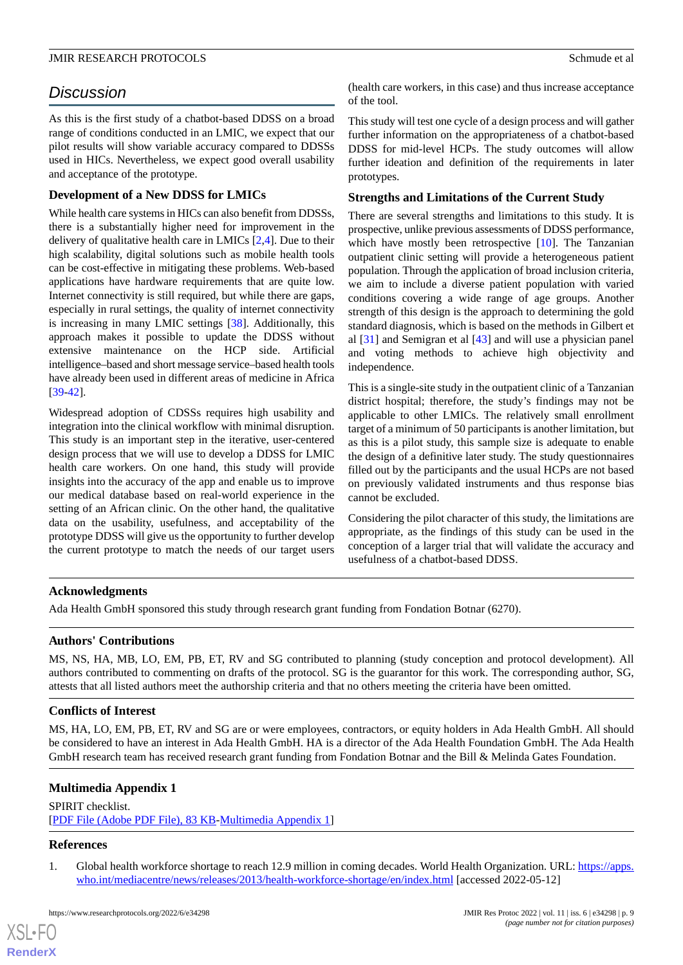# *Discussion*

As this is the first study of a chatbot-based DDSS on a broad range of conditions conducted in an LMIC, we expect that our pilot results will show variable accuracy compared to DDSSs used in HICs. Nevertheless, we expect good overall usability and acceptance of the prototype.

# **Development of a New DDSS for LMICs**

While health care systems in HICs can also benefit from DDSSs, there is a substantially higher need for improvement in the delivery of qualitative health care in LMICs [\[2](#page-9-0),[4\]](#page-9-2). Due to their high scalability, digital solutions such as mobile health tools can be cost-effective in mitigating these problems. Web-based applications have hardware requirements that are quite low. Internet connectivity is still required, but while there are gaps, especially in rural settings, the quality of internet connectivity is increasing in many LMIC settings [[38\]](#page-10-12). Additionally, this approach makes it possible to update the DDSS without extensive maintenance on the HCP side. Artificial intelligence–based and short message service–based health tools have already been used in different areas of medicine in Africa [[39](#page-10-13)[-42](#page-10-14)].

Widespread adoption of CDSSs requires high usability and integration into the clinical workflow with minimal disruption. This study is an important step in the iterative, user-centered design process that we will use to develop a DDSS for LMIC health care workers. On one hand, this study will provide insights into the accuracy of the app and enable us to improve our medical database based on real-world experience in the setting of an African clinic. On the other hand, the qualitative data on the usability, usefulness, and acceptability of the prototype DDSS will give us the opportunity to further develop the current prototype to match the needs of our target users

(health care workers, in this case) and thus increase acceptance of the tool.

This study will test one cycle of a design process and will gather further information on the appropriateness of a chatbot-based DDSS for mid-level HCPs. The study outcomes will allow further ideation and definition of the requirements in later prototypes.

# **Strengths and Limitations of the Current Study**

There are several strengths and limitations to this study. It is prospective, unlike previous assessments of DDSS performance, which have mostly been retrospective [\[10](#page-9-8)]. The Tanzanian outpatient clinic setting will provide a heterogeneous patient population. Through the application of broad inclusion criteria, we aim to include a diverse patient population with varied conditions covering a wide range of age groups. Another strength of this design is the approach to determining the gold standard diagnosis, which is based on the methods in Gilbert et al [[31\]](#page-10-7) and Semigran et al [[43\]](#page-10-15) and will use a physician panel and voting methods to achieve high objectivity and independence.

This is a single-site study in the outpatient clinic of a Tanzanian district hospital; therefore, the study's findings may not be applicable to other LMICs. The relatively small enrollment target of a minimum of 50 participants is another limitation, but as this is a pilot study, this sample size is adequate to enable the design of a definitive later study. The study questionnaires filled out by the participants and the usual HCPs are not based on previously validated instruments and thus response bias cannot be excluded.

Considering the pilot character of this study, the limitations are appropriate, as the findings of this study can be used in the conception of a larger trial that will validate the accuracy and usefulness of a chatbot-based DDSS.

# **Acknowledgments**

Ada Health GmbH sponsored this study through research grant funding from Fondation Botnar (6270).

# **Authors' Contributions**

MS, NS, HA, MB, LO, EM, PB, ET, RV and SG contributed to planning (study conception and protocol development). All authors contributed to commenting on drafts of the protocol. SG is the guarantor for this work. The corresponding author, SG, attests that all listed authors meet the authorship criteria and that no others meeting the criteria have been omitted.

# <span id="page-8-1"></span>**Conflicts of Interest**

MS, HA, LO, EM, PB, ET, RV and SG are or were employees, contractors, or equity holders in Ada Health GmbH. All should be considered to have an interest in Ada Health GmbH. HA is a director of the Ada Health Foundation GmbH. The Ada Health GmbH research team has received research grant funding from Fondation Botnar and the Bill & Melinda Gates Foundation.

# <span id="page-8-0"></span>**Multimedia Appendix 1**

SPIRIT checklist. [[PDF File \(Adobe PDF File\), 83 KB](https://jmir.org/api/download?alt_name=resprot_v11i6e34298_app1.pdf&filename=36b2374bac6d5679a6b0acb68c07f9dd.pdf)-[Multimedia Appendix 1\]](https://jmir.org/api/download?alt_name=resprot_v11i6e34298_app1.pdf&filename=36b2374bac6d5679a6b0acb68c07f9dd.pdf)

# **References**

[XSL](http://www.w3.org/Style/XSL)•FO **[RenderX](http://www.renderx.com/)**

1. Global health workforce shortage to reach 12.9 million in coming decades. World Health Organization. URL: [https://apps.](https://apps.who.int/mediacentre/news/releases/2013/health-workforce-shortage/en/index.html) [who.int/mediacentre/news/releases/2013/health-workforce-shortage/en/index.html](https://apps.who.int/mediacentre/news/releases/2013/health-workforce-shortage/en/index.html) [accessed 2022-05-12]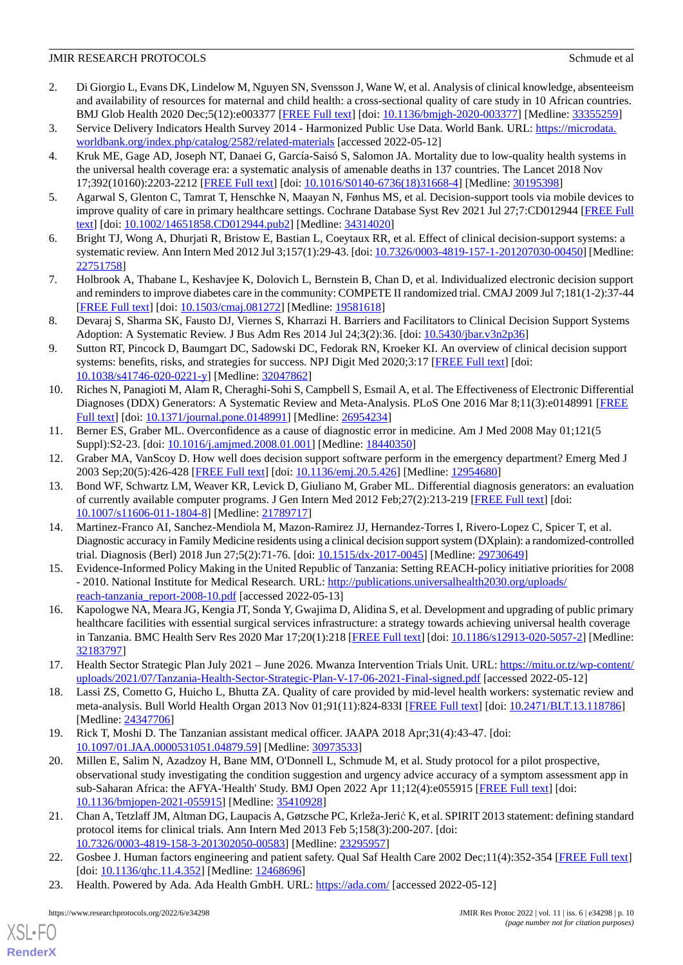- <span id="page-9-0"></span>2. Di Giorgio L, Evans DK, Lindelow M, Nguyen SN, Svensson J, Wane W, et al. Analysis of clinical knowledge, absenteeism and availability of resources for maternal and child health: a cross-sectional quality of care study in 10 African countries. BMJ Glob Health 2020 Dec;5(12):e003377 [\[FREE Full text\]](https://gh.bmj.com/lookup/pmidlookup?view=long&pmid=33355259) [doi: [10.1136/bmjgh-2020-003377](http://dx.doi.org/10.1136/bmjgh-2020-003377)] [Medline: [33355259](http://www.ncbi.nlm.nih.gov/entrez/query.fcgi?cmd=Retrieve&db=PubMed&list_uids=33355259&dopt=Abstract)]
- <span id="page-9-2"></span><span id="page-9-1"></span>3. Service Delivery Indicators Health Survey 2014 - Harmonized Public Use Data. World Bank. URL: [https://microdata.](https://microdata.worldbank.org/index.php/catalog/2582/related-materials) [worldbank.org/index.php/catalog/2582/related-materials](https://microdata.worldbank.org/index.php/catalog/2582/related-materials) [accessed 2022-05-12]
- 4. Kruk ME, Gage AD, Joseph NT, Danaei G, García-Saisó S, Salomon JA. Mortality due to low-quality health systems in the universal health coverage era: a systematic analysis of amenable deaths in 137 countries. The Lancet 2018 Nov 17;392(10160):2203-2212 [[FREE Full text](https://linkinghub.elsevier.com/retrieve/pii/S0140-6736(18)31668-4)] [doi: [10.1016/S0140-6736\(18\)31668-4\]](http://dx.doi.org/10.1016/S0140-6736(18)31668-4) [Medline: [30195398\]](http://www.ncbi.nlm.nih.gov/entrez/query.fcgi?cmd=Retrieve&db=PubMed&list_uids=30195398&dopt=Abstract)
- <span id="page-9-4"></span><span id="page-9-3"></span>5. Agarwal S, Glenton C, Tamrat T, Henschke N, Maayan N, Fønhus MS, et al. Decision-support tools via mobile devices to improve quality of care in primary healthcare settings. Cochrane Database Syst Rev 2021 Jul 27;7:CD012944 [[FREE Full](http://europepmc.org/abstract/MED/34314020) [text](http://europepmc.org/abstract/MED/34314020)] [doi: [10.1002/14651858.CD012944.pub2\]](http://dx.doi.org/10.1002/14651858.CD012944.pub2) [Medline: [34314020](http://www.ncbi.nlm.nih.gov/entrez/query.fcgi?cmd=Retrieve&db=PubMed&list_uids=34314020&dopt=Abstract)]
- <span id="page-9-5"></span>6. Bright TJ, Wong A, Dhurjati R, Bristow E, Bastian L, Coeytaux RR, et al. Effect of clinical decision-support systems: a systematic review. Ann Intern Med 2012 Jul 3;157(1):29-43. [doi: [10.7326/0003-4819-157-1-201207030-00450](http://dx.doi.org/10.7326/0003-4819-157-1-201207030-00450)] [Medline: [22751758](http://www.ncbi.nlm.nih.gov/entrez/query.fcgi?cmd=Retrieve&db=PubMed&list_uids=22751758&dopt=Abstract)]
- <span id="page-9-6"></span>7. Holbrook A, Thabane L, Keshavjee K, Dolovich L, Bernstein B, Chan D, et al. Individualized electronic decision support and reminders to improve diabetes care in the community: COMPETE II randomized trial. CMAJ 2009 Jul 7;181(1-2):37-44 [[FREE Full text](http://www.cmaj.ca/cgi/pmidlookup?view=long&pmid=19581618)] [doi: [10.1503/cmaj.081272\]](http://dx.doi.org/10.1503/cmaj.081272) [Medline: [19581618](http://www.ncbi.nlm.nih.gov/entrez/query.fcgi?cmd=Retrieve&db=PubMed&list_uids=19581618&dopt=Abstract)]
- <span id="page-9-7"></span>8. Devaraj S, Sharma SK, Fausto DJ, Viernes S, Kharrazi H. Barriers and Facilitators to Clinical Decision Support Systems Adoption: A Systematic Review. J Bus Adm Res 2014 Jul 24;3(2):36. [doi: [10.5430/jbar.v3n2p36\]](http://dx.doi.org/10.5430/jbar.v3n2p36)
- <span id="page-9-8"></span>9. Sutton RT, Pincock D, Baumgart DC, Sadowski DC, Fedorak RN, Kroeker KI. An overview of clinical decision support systems: benefits, risks, and strategies for success. NPJ Digit Med 2020;3:17 [[FREE Full text\]](https://www.nature.com/articles/s41746-020-0221-y.pdf) [doi: [10.1038/s41746-020-0221-y\]](http://dx.doi.org/10.1038/s41746-020-0221-y) [Medline: [32047862](http://www.ncbi.nlm.nih.gov/entrez/query.fcgi?cmd=Retrieve&db=PubMed&list_uids=32047862&dopt=Abstract)]
- <span id="page-9-9"></span>10. Riches N, Panagioti M, Alam R, Cheraghi-Sohi S, Campbell S, Esmail A, et al. The Effectiveness of Electronic Differential Diagnoses (DDX) Generators: A Systematic Review and Meta-Analysis. PLoS One 2016 Mar 8;11(3):e0148991 [\[FREE](https://dx.plos.org/10.1371/journal.pone.0148991) [Full text\]](https://dx.plos.org/10.1371/journal.pone.0148991) [doi: [10.1371/journal.pone.0148991](http://dx.doi.org/10.1371/journal.pone.0148991)] [Medline: [26954234](http://www.ncbi.nlm.nih.gov/entrez/query.fcgi?cmd=Retrieve&db=PubMed&list_uids=26954234&dopt=Abstract)]
- <span id="page-9-11"></span><span id="page-9-10"></span>11. Berner ES, Graber ML. Overconfidence as a cause of diagnostic error in medicine. Am J Med 2008 May 01;121(5 Suppl):S2-23. [doi: [10.1016/j.amjmed.2008.01.001\]](http://dx.doi.org/10.1016/j.amjmed.2008.01.001) [Medline: [18440350](http://www.ncbi.nlm.nih.gov/entrez/query.fcgi?cmd=Retrieve&db=PubMed&list_uids=18440350&dopt=Abstract)]
- 12. Graber MA, VanScoy D. How well does decision support software perform in the emergency department? Emerg Med J 2003 Sep;20(5):426-428 [\[FREE Full text\]](https://emj.bmj.com/lookup/pmidlookup?view=long&pmid=12954680) [doi: [10.1136/emj.20.5.426\]](http://dx.doi.org/10.1136/emj.20.5.426) [Medline: [12954680\]](http://www.ncbi.nlm.nih.gov/entrez/query.fcgi?cmd=Retrieve&db=PubMed&list_uids=12954680&dopt=Abstract)
- <span id="page-9-12"></span>13. Bond WF, Schwartz LM, Weaver KR, Levick D, Giuliano M, Graber ML. Differential diagnosis generators: an evaluation of currently available computer programs. J Gen Intern Med 2012 Feb;27(2):213-219 [[FREE Full text](http://europepmc.org/abstract/MED/21789717)] [doi: [10.1007/s11606-011-1804-8\]](http://dx.doi.org/10.1007/s11606-011-1804-8) [Medline: [21789717](http://www.ncbi.nlm.nih.gov/entrez/query.fcgi?cmd=Retrieve&db=PubMed&list_uids=21789717&dopt=Abstract)]
- <span id="page-9-13"></span>14. Martinez-Franco AI, Sanchez-Mendiola M, Mazon-Ramirez JJ, Hernandez-Torres I, Rivero-Lopez C, Spicer T, et al. Diagnostic accuracy in Family Medicine residents using a clinical decision support system (DXplain): a randomized-controlled trial. Diagnosis (Berl) 2018 Jun 27;5(2):71-76. [doi: [10.1515/dx-2017-0045](http://dx.doi.org/10.1515/dx-2017-0045)] [Medline: [29730649](http://www.ncbi.nlm.nih.gov/entrez/query.fcgi?cmd=Retrieve&db=PubMed&list_uids=29730649&dopt=Abstract)]
- <span id="page-9-14"></span>15. Evidence-Informed Policy Making in the United Republic of Tanzania: Setting REACH-policy initiative priorities for 2008 - 2010. National Institute for Medical Research. URL: [http://publications.universalhealth2030.org/uploads/](http://publications.universalhealth2030.org/uploads/reach-tanzania_report-2008-10.pdf) [reach-tanzania\\_report-2008-10.pdf](http://publications.universalhealth2030.org/uploads/reach-tanzania_report-2008-10.pdf) [accessed 2022-05-13]
- <span id="page-9-16"></span><span id="page-9-15"></span>16. Kapologwe NA, Meara JG, Kengia JT, Sonda Y, Gwajima D, Alidina S, et al. Development and upgrading of public primary healthcare facilities with essential surgical services infrastructure: a strategy towards achieving universal health coverage in Tanzania. BMC Health Serv Res 2020 Mar 17;20(1):218 [\[FREE Full text\]](https://bmchealthservres.biomedcentral.com/articles/10.1186/s12913-020-5057-2) [doi: [10.1186/s12913-020-5057-2\]](http://dx.doi.org/10.1186/s12913-020-5057-2) [Medline: [32183797](http://www.ncbi.nlm.nih.gov/entrez/query.fcgi?cmd=Retrieve&db=PubMed&list_uids=32183797&dopt=Abstract)]
- <span id="page-9-17"></span>17. Health Sector Strategic Plan July 2021 – June 2026. Mwanza Intervention Trials Unit. URL: [https://mitu.or.tz/wp-content/](https://mitu.or.tz/wp-content/uploads/2021/07/Tanzania-Health-Sector-Strategic-Plan-V-17-06-2021-Final-signed.pdf) [uploads/2021/07/Tanzania-Health-Sector-Strategic-Plan-V-17-06-2021-Final-signed.pdf](https://mitu.or.tz/wp-content/uploads/2021/07/Tanzania-Health-Sector-Strategic-Plan-V-17-06-2021-Final-signed.pdf) [accessed 2022-05-12]
- <span id="page-9-18"></span>18. Lassi ZS, Cometto G, Huicho L, Bhutta ZA. Quality of care provided by mid-level health workers: systematic review and meta-analysis. Bull World Health Organ 2013 Nov 01;91(11):824-833I [[FREE Full text](http://europepmc.org/abstract/MED/24347706)] [doi: [10.2471/BLT.13.118786\]](http://dx.doi.org/10.2471/BLT.13.118786) [Medline: [24347706](http://www.ncbi.nlm.nih.gov/entrez/query.fcgi?cmd=Retrieve&db=PubMed&list_uids=24347706&dopt=Abstract)]
- <span id="page-9-19"></span>19. Rick T, Moshi D. The Tanzanian assistant medical officer. JAAPA 2018 Apr;31(4):43-47. [doi: [10.1097/01.JAA.0000531051.04879.59](http://dx.doi.org/10.1097/01.JAA.0000531051.04879.59)] [Medline: [30973533](http://www.ncbi.nlm.nih.gov/entrez/query.fcgi?cmd=Retrieve&db=PubMed&list_uids=30973533&dopt=Abstract)]
- <span id="page-9-20"></span>20. Millen E, Salim N, Azadzoy H, Bane MM, O'Donnell L, Schmude M, et al. Study protocol for a pilot prospective, observational study investigating the condition suggestion and urgency advice accuracy of a symptom assessment app in sub-Saharan Africa: the AFYA-'Health' Study. BMJ Open 2022 Apr 11;12(4):e055915 [[FREE Full text](https://bmjopen.bmj.com/lookup/pmidlookup?view=long&pmid=35410928)] [doi: [10.1136/bmjopen-2021-055915\]](http://dx.doi.org/10.1136/bmjopen-2021-055915) [Medline: [35410928](http://www.ncbi.nlm.nih.gov/entrez/query.fcgi?cmd=Retrieve&db=PubMed&list_uids=35410928&dopt=Abstract)]
- <span id="page-9-21"></span>21. Chan A, Tetzlaff JM, Altman DG, Laupacis A, Gøtzsche PC, Krleža-Jerić K, et al. SPIRIT 2013 statement: defining standard protocol items for clinical trials. Ann Intern Med 2013 Feb 5;158(3):200-207. [doi: [10.7326/0003-4819-158-3-201302050-00583](http://dx.doi.org/10.7326/0003-4819-158-3-201302050-00583)] [Medline: [23295957](http://www.ncbi.nlm.nih.gov/entrez/query.fcgi?cmd=Retrieve&db=PubMed&list_uids=23295957&dopt=Abstract)]
- 22. Gosbee J. Human factors engineering and patient safety. Qual Saf Health Care 2002 Dec;11(4):352-354 [\[FREE Full text\]](https://qhc.bmj.com/lookup/pmidlookup?view=long&pmid=12468696) [doi: [10.1136/qhc.11.4.352](http://dx.doi.org/10.1136/qhc.11.4.352)] [Medline: [12468696\]](http://www.ncbi.nlm.nih.gov/entrez/query.fcgi?cmd=Retrieve&db=PubMed&list_uids=12468696&dopt=Abstract)
- 23. Health. Powered by Ada. Ada Health GmbH. URL:<https://ada.com/> [accessed 2022-05-12]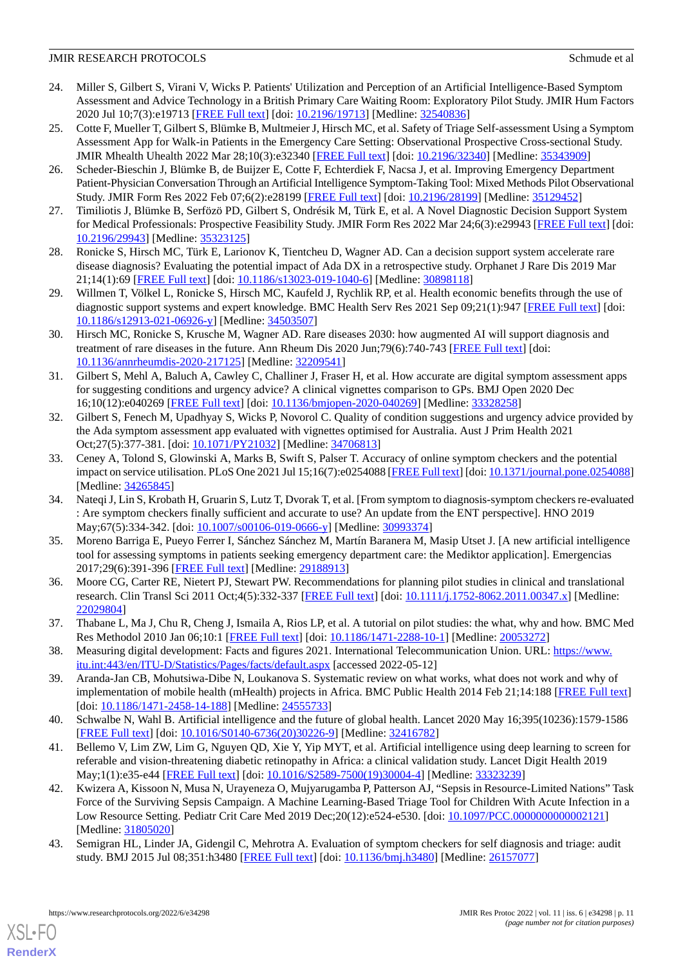- <span id="page-10-0"></span>24. Miller S, Gilbert S, Virani V, Wicks P. Patients' Utilization and Perception of an Artificial Intelligence-Based Symptom Assessment and Advice Technology in a British Primary Care Waiting Room: Exploratory Pilot Study. JMIR Hum Factors 2020 Jul 10;7(3):e19713 [[FREE Full text](https://humanfactors.jmir.org/2020/3/e19713/)] [doi: [10.2196/19713\]](http://dx.doi.org/10.2196/19713) [Medline: [32540836](http://www.ncbi.nlm.nih.gov/entrez/query.fcgi?cmd=Retrieve&db=PubMed&list_uids=32540836&dopt=Abstract)]
- <span id="page-10-1"></span>25. Cotte F, Mueller T, Gilbert S, Blümke B, Multmeier J, Hirsch MC, et al. Safety of Triage Self-assessment Using a Symptom Assessment App for Walk-in Patients in the Emergency Care Setting: Observational Prospective Cross-sectional Study. JMIR Mhealth Uhealth 2022 Mar 28;10(3):e32340 [[FREE Full text](https://mhealth.jmir.org/2022/3/e32340/)] [doi: [10.2196/32340\]](http://dx.doi.org/10.2196/32340) [Medline: [35343909\]](http://www.ncbi.nlm.nih.gov/entrez/query.fcgi?cmd=Retrieve&db=PubMed&list_uids=35343909&dopt=Abstract)
- <span id="page-10-2"></span>26. Scheder-Bieschin J, Blümke B, de Buijzer E, Cotte F, Echterdiek F, Nacsa J, et al. Improving Emergency Department Patient-Physician Conversation Through an Artificial Intelligence Symptom-Taking Tool: Mixed Methods Pilot Observational Study. JMIR Form Res 2022 Feb 07;6(2):e28199 [\[FREE Full text\]](https://formative.jmir.org/2022/2/e28199/) [doi: [10.2196/28199](http://dx.doi.org/10.2196/28199)] [Medline: [35129452](http://www.ncbi.nlm.nih.gov/entrez/query.fcgi?cmd=Retrieve&db=PubMed&list_uids=35129452&dopt=Abstract)]
- <span id="page-10-4"></span><span id="page-10-3"></span>27. Timiliotis J, Blümke B, Serfözö PD, Gilbert S, Ondrésik M, Türk E, et al. A Novel Diagnostic Decision Support System for Medical Professionals: Prospective Feasibility Study. JMIR Form Res 2022 Mar 24;6(3):e29943 [\[FREE Full text](https://formative.jmir.org/2022/3/e29943/)] [doi: [10.2196/29943\]](http://dx.doi.org/10.2196/29943) [Medline: [35323125\]](http://www.ncbi.nlm.nih.gov/entrez/query.fcgi?cmd=Retrieve&db=PubMed&list_uids=35323125&dopt=Abstract)
- <span id="page-10-5"></span>28. Ronicke S, Hirsch MC, Türk E, Larionov K, Tientcheu D, Wagner AD. Can a decision support system accelerate rare disease diagnosis? Evaluating the potential impact of Ada DX in a retrospective study. Orphanet J Rare Dis 2019 Mar 21;14(1):69 [[FREE Full text\]](https://ojrd.biomedcentral.com/articles/10.1186/s13023-019-1040-6) [doi: [10.1186/s13023-019-1040-6](http://dx.doi.org/10.1186/s13023-019-1040-6)] [Medline: [30898118](http://www.ncbi.nlm.nih.gov/entrez/query.fcgi?cmd=Retrieve&db=PubMed&list_uids=30898118&dopt=Abstract)]
- <span id="page-10-6"></span>29. Willmen T, Völkel L, Ronicke S, Hirsch MC, Kaufeld J, Rychlik RP, et al. Health economic benefits through the use of diagnostic support systems and expert knowledge. BMC Health Serv Res 2021 Sep 09;21(1):947 [[FREE Full text](https://bmchealthservres.biomedcentral.com/articles/10.1186/s12913-021-06926-y)] [doi: [10.1186/s12913-021-06926-y\]](http://dx.doi.org/10.1186/s12913-021-06926-y) [Medline: [34503507\]](http://www.ncbi.nlm.nih.gov/entrez/query.fcgi?cmd=Retrieve&db=PubMed&list_uids=34503507&dopt=Abstract)
- <span id="page-10-7"></span>30. Hirsch MC, Ronicke S, Krusche M, Wagner AD. Rare diseases 2030: how augmented AI will support diagnosis and treatment of rare diseases in the future. Ann Rheum Dis 2020 Jun;79(6):740-743 [\[FREE Full text\]](http://ard.bmj.com/lookup/pmidlookup?view=long&pmid=32209541) [doi: [10.1136/annrheumdis-2020-217125](http://dx.doi.org/10.1136/annrheumdis-2020-217125)] [Medline: [32209541\]](http://www.ncbi.nlm.nih.gov/entrez/query.fcgi?cmd=Retrieve&db=PubMed&list_uids=32209541&dopt=Abstract)
- 31. Gilbert S, Mehl A, Baluch A, Cawley C, Challiner J, Fraser H, et al. How accurate are digital symptom assessment apps for suggesting conditions and urgency advice? A clinical vignettes comparison to GPs. BMJ Open 2020 Dec 16;10(12):e040269 [\[FREE Full text](https://bmjopen.bmj.com/lookup/pmidlookup?view=long&pmid=33328258)] [doi: [10.1136/bmjopen-2020-040269\]](http://dx.doi.org/10.1136/bmjopen-2020-040269) [Medline: [33328258](http://www.ncbi.nlm.nih.gov/entrez/query.fcgi?cmd=Retrieve&db=PubMed&list_uids=33328258&dopt=Abstract)]
- <span id="page-10-8"></span>32. Gilbert S, Fenech M, Upadhyay S, Wicks P, Novorol C. Quality of condition suggestions and urgency advice provided by the Ada symptom assessment app evaluated with vignettes optimised for Australia. Aust J Prim Health 2021 Oct;27(5):377-381. [doi: [10.1071/PY21032\]](http://dx.doi.org/10.1071/PY21032) [Medline: [34706813\]](http://www.ncbi.nlm.nih.gov/entrez/query.fcgi?cmd=Retrieve&db=PubMed&list_uids=34706813&dopt=Abstract)
- 33. Ceney A, Tolond S, Glowinski A, Marks B, Swift S, Palser T. Accuracy of online symptom checkers and the potential impact on service utilisation. PLoS One 2021 Jul 15;16(7):e0254088 [[FREE Full text](https://dx.plos.org/10.1371/journal.pone.0254088)] [doi: [10.1371/journal.pone.0254088](http://dx.doi.org/10.1371/journal.pone.0254088)] [Medline: [34265845](http://www.ncbi.nlm.nih.gov/entrez/query.fcgi?cmd=Retrieve&db=PubMed&list_uids=34265845&dopt=Abstract)]
- <span id="page-10-9"></span>34. Nateqi J, Lin S, Krobath H, Gruarin S, Lutz T, Dvorak T, et al. [From symptom to diagnosis-symptom checkers re-evaluated : Are symptom checkers finally sufficient and accurate to use? An update from the ENT perspective]. HNO 2019 May; 67(5): 334-342. [doi: [10.1007/s00106-019-0666-y\]](http://dx.doi.org/10.1007/s00106-019-0666-y) [Medline: [30993374\]](http://www.ncbi.nlm.nih.gov/entrez/query.fcgi?cmd=Retrieve&db=PubMed&list_uids=30993374&dopt=Abstract)
- <span id="page-10-10"></span>35. Moreno Barriga E, Pueyo Ferrer I, Sánchez Sánchez M, Martín Baranera M, Masip Utset J. [A new artificial intelligence tool for assessing symptoms in patients seeking emergency department care: the Mediktor application]. Emergencias 2017;29(6):391-396 [[FREE Full text](http://emergencias.portalsemes.org/descargar/experiencia-de-mediktor-un-nuevo-evaluador-de-sntomas-basado-en-inteligencia-artificial-para-pacientes-atendidos-en-el-servicio-de-urgencias/)] [Medline: [29188913](http://www.ncbi.nlm.nih.gov/entrez/query.fcgi?cmd=Retrieve&db=PubMed&list_uids=29188913&dopt=Abstract)]
- <span id="page-10-12"></span><span id="page-10-11"></span>36. Moore CG, Carter RE, Nietert PJ, Stewart PW. Recommendations for planning pilot studies in clinical and translational research. Clin Transl Sci 2011 Oct;4(5):332-337 [[FREE Full text](http://europepmc.org/abstract/MED/22029804)] [doi: [10.1111/j.1752-8062.2011.00347.x\]](http://dx.doi.org/10.1111/j.1752-8062.2011.00347.x) [Medline: [22029804](http://www.ncbi.nlm.nih.gov/entrez/query.fcgi?cmd=Retrieve&db=PubMed&list_uids=22029804&dopt=Abstract)]
- <span id="page-10-13"></span>37. Thabane L, Ma J, Chu R, Cheng J, Ismaila A, Rios LP, et al. A tutorial on pilot studies: the what, why and how. BMC Med Res Methodol 2010 Jan 06;10:1 [\[FREE Full text](https://bmcmedresmethodol.biomedcentral.com/articles/10.1186/1471-2288-10-1)] [doi: [10.1186/1471-2288-10-1](http://dx.doi.org/10.1186/1471-2288-10-1)] [Medline: [20053272\]](http://www.ncbi.nlm.nih.gov/entrez/query.fcgi?cmd=Retrieve&db=PubMed&list_uids=20053272&dopt=Abstract)
- 38. Measuring digital development: Facts and figures 2021. International Telecommunication Union. URL: [https://www.](https://www.itu.int:443/en/ITU-D/Statistics/Pages/facts/default.aspx) [itu.int:443/en/ITU-D/Statistics/Pages/facts/default.aspx](https://www.itu.int:443/en/ITU-D/Statistics/Pages/facts/default.aspx) [accessed 2022-05-12]
- 39. Aranda-Jan CB, Mohutsiwa-Dibe N, Loukanova S. Systematic review on what works, what does not work and why of implementation of mobile health (mHealth) projects in Africa. BMC Public Health 2014 Feb 21;14:188 [[FREE Full text](https://bmcpublichealth.biomedcentral.com/articles/10.1186/1471-2458-14-188)] [doi: [10.1186/1471-2458-14-188](http://dx.doi.org/10.1186/1471-2458-14-188)] [Medline: [24555733\]](http://www.ncbi.nlm.nih.gov/entrez/query.fcgi?cmd=Retrieve&db=PubMed&list_uids=24555733&dopt=Abstract)
- <span id="page-10-14"></span>40. Schwalbe N, Wahl B. Artificial intelligence and the future of global health. Lancet 2020 May 16;395(10236):1579-1586 [[FREE Full text](http://europepmc.org/abstract/MED/32416782)] [doi: [10.1016/S0140-6736\(20\)30226-9\]](http://dx.doi.org/10.1016/S0140-6736(20)30226-9) [Medline: [32416782](http://www.ncbi.nlm.nih.gov/entrez/query.fcgi?cmd=Retrieve&db=PubMed&list_uids=32416782&dopt=Abstract)]
- <span id="page-10-15"></span>41. Bellemo V, Lim ZW, Lim G, Nguyen QD, Xie Y, Yip MYT, et al. Artificial intelligence using deep learning to screen for referable and vision-threatening diabetic retinopathy in Africa: a clinical validation study. Lancet Digit Health 2019 May;1(1):e35-e44 [\[FREE Full text\]](https://linkinghub.elsevier.com/retrieve/pii/S2589-7500(19)30004-4) [doi: [10.1016/S2589-7500\(19\)30004-4\]](http://dx.doi.org/10.1016/S2589-7500(19)30004-4) [Medline: [33323239\]](http://www.ncbi.nlm.nih.gov/entrez/query.fcgi?cmd=Retrieve&db=PubMed&list_uids=33323239&dopt=Abstract)
- 42. Kwizera A, Kissoon N, Musa N, Urayeneza O, Mujyarugamba P, Patterson AJ, "Sepsis in Resource-Limited Nations" Task Force of the Surviving Sepsis Campaign. A Machine Learning-Based Triage Tool for Children With Acute Infection in a Low Resource Setting. Pediatr Crit Care Med 2019 Dec;20(12):e524-e530. [doi: [10.1097/PCC.0000000000002121](http://dx.doi.org/10.1097/PCC.0000000000002121)] [Medline: [31805020](http://www.ncbi.nlm.nih.gov/entrez/query.fcgi?cmd=Retrieve&db=PubMed&list_uids=31805020&dopt=Abstract)]
- 43. Semigran HL, Linder JA, Gidengil C, Mehrotra A. Evaluation of symptom checkers for self diagnosis and triage: audit study. BMJ 2015 Jul 08;351:h3480 [[FREE Full text\]](http://www.bmj.com/lookup/pmidlookup?view=long&pmid=26157077) [doi: [10.1136/bmj.h3480](http://dx.doi.org/10.1136/bmj.h3480)] [Medline: [26157077](http://www.ncbi.nlm.nih.gov/entrez/query.fcgi?cmd=Retrieve&db=PubMed&list_uids=26157077&dopt=Abstract)]